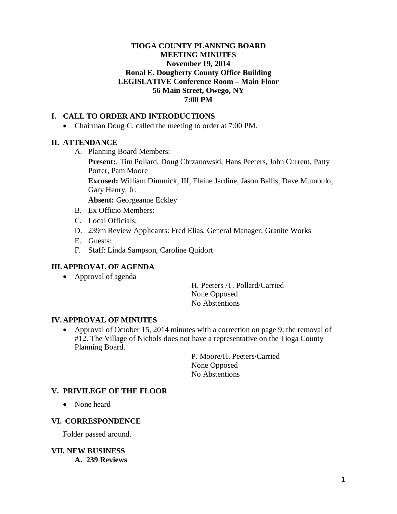#### **TIOGA COUNTY PLANNING BOARD MEETING MINUTES November 19, 2014 Ronal E. Dougherty County Office Building LEGISLATIVE Conference Room – Main Floor 56 Main Street, Owego, NY 7:00 PM**

### **I. CALL TO ORDER AND INTRODUCTIONS**

• Chairman Doug C. called the meeting to order at 7:00 PM.

#### **II. ATTENDANCE**

A. Planning Board Members:

**Present:**, Tim Pollard, Doug Chrzanowski, Hans Peeters, John Current, Patty Porter, Pam Moore

**Excused:** William Dimmick, III, Elaine Jardine, Jason Bellis, Dave Mumbulo, Gary Henry, Jr.

**Absent:** Georgeanne Eckley

- B. Ex Officio Members:
- C. Local Officials:
- D. 239m Review Applicants: Fred Elias, General Manager, Granite Works
- E. Guests:
- F. Staff: Linda Sampson, Caroline Quidort

#### **III.APPROVAL OF AGENDA**

• Approval of agenda

H. Peeters /T. Pollard/Carried None Opposed No Abstentions

#### **IV. APPROVAL OF MINUTES**

• Approval of October 15, 2014 minutes with a correction on page 9; the removal of #12. The Village of Nichols does not have a representative on the Tioga County Planning Board.

> P. Moore/H. Peeters/Carried None Opposed No Abstentions

#### **V. PRIVILEGE OF THE FLOOR**

• None heard

#### **VI. CORRESPONDENCE**

Folder passed around.

**VII. NEW BUSINESS A. 239 Reviews**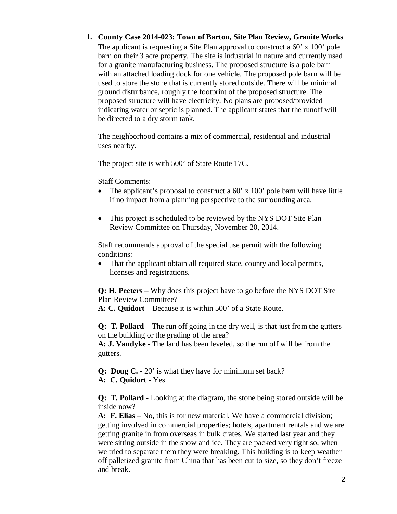#### **1. County Case 2014-023: Town of Barton, Site Plan Review, Granite Works**

The applicant is requesting a Site Plan approval to construct a 60' x 100' pole barn on their 3 acre property. The site is industrial in nature and currently used for a granite manufacturing business. The proposed structure is a pole barn with an attached loading dock for one vehicle. The proposed pole barn will be used to store the stone that is currently stored outside. There will be minimal ground disturbance, roughly the footprint of the proposed structure. The proposed structure will have electricity. No plans are proposed/provided indicating water or septic is planned. The applicant states that the runoff will be directed to a dry storm tank.

The neighborhood contains a mix of commercial, residential and industrial uses nearby.

The project site is with 500' of State Route 17C.

Staff Comments:

- The applicant's proposal to construct a 60' x 100' pole barn will have little if no impact from a planning perspective to the surrounding area.
- This project is scheduled to be reviewed by the NYS DOT Site Plan Review Committee on Thursday, November 20, 2014.

Staff recommends approval of the special use permit with the following conditions:

• That the applicant obtain all required state, county and local permits, licenses and registrations.

**Q: H. Peeters** – Why does this project have to go before the NYS DOT Site Plan Review Committee?

**A: C. Quidort** – Because it is within 500' of a State Route.

**Q: T. Pollard** – The run off going in the dry well, is that just from the gutters on the building or the grading of the area?

**A: J. Vandyke** - The land has been leveled, so the run off will be from the gutters.

**Q: Doug C.** - 20' is what they have for minimum set back? **A: C. Quidort** - Yes.

**Q: T. Pollard** - Looking at the diagram, the stone being stored outside will be inside now?

**A: F. Elias** – No, this is for new material. We have a commercial division; getting involved in commercial properties; hotels, apartment rentals and we are getting granite in from overseas in bulk crates. We started last year and they were sitting outside in the snow and ice. They are packed very tight so, when we tried to separate them they were breaking. This building is to keep weather off palletized granite from China that has been cut to size, so they don't freeze and break.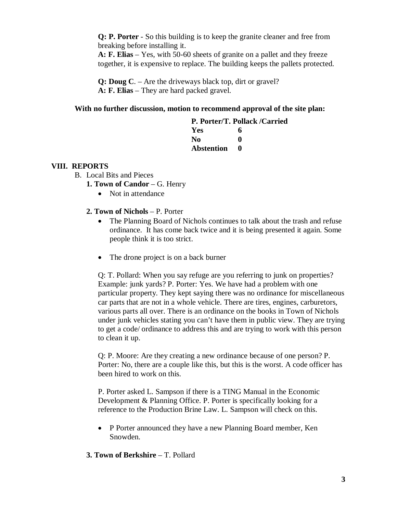**Q: P. Porter** - So this building is to keep the granite cleaner and free from breaking before installing it.

**A: F. Elias** – Yes, with 50-60 sheets of granite on a pallet and they freeze together, it is expensive to replace. The building keeps the pallets protected.

**Q: Doug C**. – Are the driveways black top, dirt or gravel? **A: F. Elias** – They are hard packed gravel.

#### **With no further discussion, motion to recommend approval of the site plan:**

|            | P. Porter/T. Pollack /Carried |
|------------|-------------------------------|
| Yes        | 6                             |
| No.        | 0                             |
| Abstention |                               |

#### **VIII. REPORTS**

- B. Local Bits and Pieces
	- **1. Town of Candor**  G. Henry
		- Not in attendance
	- **2. Town of Nichols**  P. Porter
		- The Planning Board of Nichols continues to talk about the trash and refuse ordinance. It has come back twice and it is being presented it again. Some people think it is too strict.
		- The drone project is on a back burner

Q: T. Pollard: When you say refuge are you referring to junk on properties? Example: junk yards? P. Porter: Yes. We have had a problem with one particular property. They kept saying there was no ordinance for miscellaneous car parts that are not in a whole vehicle. There are tires, engines, carburetors, various parts all over. There is an ordinance on the books in Town of Nichols under junk vehicles stating you can't have them in public view. They are trying to get a code/ ordinance to address this and are trying to work with this person to clean it up.

Q: P. Moore: Are they creating a new ordinance because of one person? P. Porter: No, there are a couple like this, but this is the worst. A code officer has been hired to work on this.

P. Porter asked L. Sampson if there is a TING Manual in the Economic Development & Planning Office. P. Porter is specifically looking for a reference to the Production Brine Law. L. Sampson will check on this.

- P Porter announced they have a new Planning Board member, Ken Snowden.
- **3. Town of Berkshire**  T. Pollard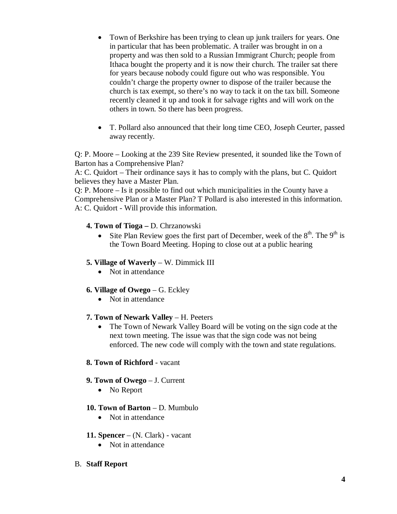- Town of Berkshire has been trying to clean up junk trailers for years. One in particular that has been problematic. A trailer was brought in on a property and was then sold to a Russian Immigrant Church; people from Ithaca bought the property and it is now their church. The trailer sat there for years because nobody could figure out who was responsible. You couldn't charge the property owner to dispose of the trailer because the church is tax exempt, so there's no way to tack it on the tax bill. Someone recently cleaned it up and took it for salvage rights and will work on the others in town. So there has been progress.
- T. Pollard also announced that their long time CEO, Joseph Ceurter, passed away recently.

Q: P. Moore – Looking at the 239 Site Review presented, it sounded like the Town of Barton has a Comprehensive Plan?

A: C. Quidort – Their ordinance says it has to comply with the plans, but C. Quidort believes they have a Master Plan.

Q: P. Moore – Is it possible to find out which municipalities in the County have a Comprehensive Plan or a Master Plan? T Pollard is also interested in this information. A: C. Quidort - Will provide this information.

### **4. Town of Tioga –** D. Chrzanowski

• Site Plan Review goes the first part of December, week of the  $8<sup>th</sup>$ . The  $9<sup>th</sup>$  is the Town Board Meeting. Hoping to close out at a public hearing

### **5. Village of Waverly** – W. Dimmick III

• Not in attendance

# **6. Village of Owego** – G. Eckley

• Not in attendance

### **7. Town of Newark Valley** – H. Peeters

• The Town of Newark Valley Board will be voting on the sign code at the next town meeting. The issue was that the sign code was not being enforced. The new code will comply with the town and state regulations.

### **8. Town of Richford** - vacant

### **9. Town of Owego** – J. Current

• No Report

### **10. Town of Barton** – D. Mumbulo

• Not in attendance

### **11. Spencer** – (N. Clark) - vacant

• Not in attendance

### B. **Staff Report**